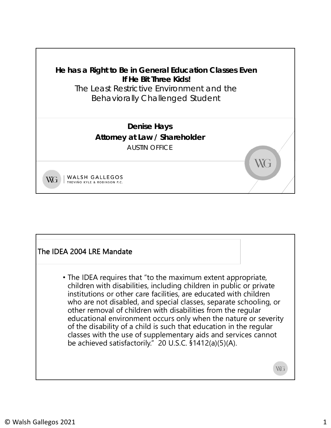

## The IDEA 2004 LRE Mandate • The IDEA requires that "to the maximum extent appropriate, children with disabilities, including children in public or private institutions or other care facilities, are educated with children who are not disabled, and special classes, separate schooling, or other removal of children with disabilities from the regular educational environment occurs only when the nature or severity of the disability of a child is such that education in the regular classes with the use of supplementary aids and services cannot be achieved satisfactorily." 20 U.S.C. §1412(a)(5)(A). WG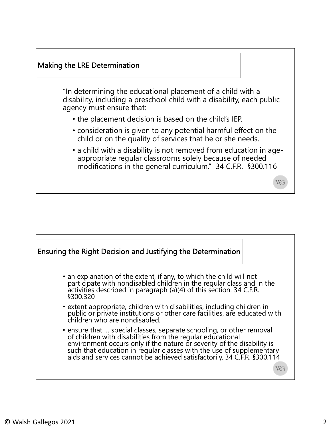

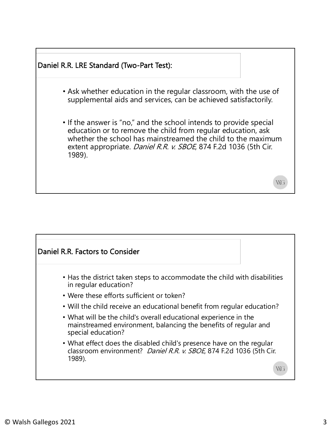

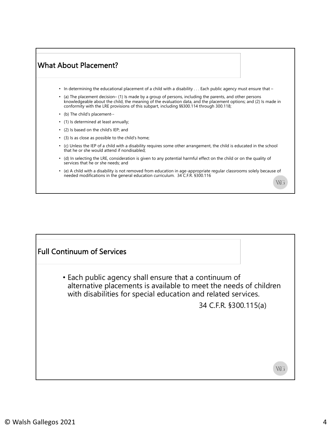## What About Placement?

- In determining the educational placement of a child with a disability . . . Each public agency must ensure that –
- (a) The placement decision– (1) Is made by a group of persons, including the parents, and other persons knowledgeable about the child, the meaning of the evaluation data, and the placement options; and (2) Is made in conformity with the LRE provisions of this subpart, including §§300.114 through 300.118;
- (b) The child's placement--
- (1) Is determined at least annually;
- (2) Is based on the child's IEP; and
- (3) Is as close as possible to the child's home;
- (c) Unless the IEP of a child with a disability requires some other arrangement, the child is educated in the school that he or she would attend if nondisabled;
- (d) In selecting the LRE, consideration is given to any potential harmful effect on the child or on the quality of services that he or she needs; and
- (e) A child with a disability is not removed from education in age-appropriate regular classrooms solely because of needed modifications in the general education curriculum. 34 C.F.R. §300.116

Full Continuum of Services• Each public agency shall ensure that a continuum of alternative placements is available to meet the needs of children with disabilities for special education and related services. 34 C.F.R. §300.115(a) WG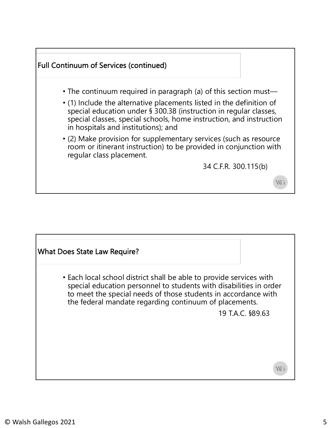

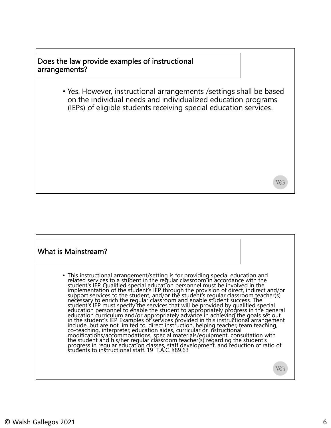### Does the law provide examples of instructional arrangements?

• Yes. However, instructional arrangements /settings shall be based on the individual needs and individualized education programs (IEPs) of eligible students receiving special education services.

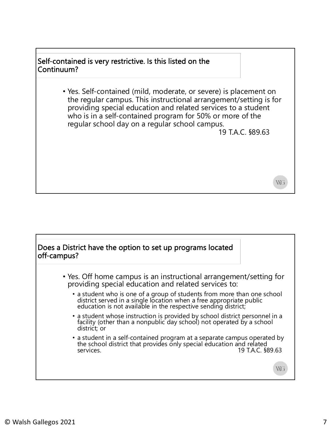## Self-contained is very restrictive. Is this listed on the Continuum?

• Yes. Self-contained (mild, moderate, or severe) is placement on the regular campus. This instructional arrangement/setting is for providing special education and related services to a student who is in a self-contained program for 50% or more of the regular school day on a regular school campus.

19 T.A.C. §89.63

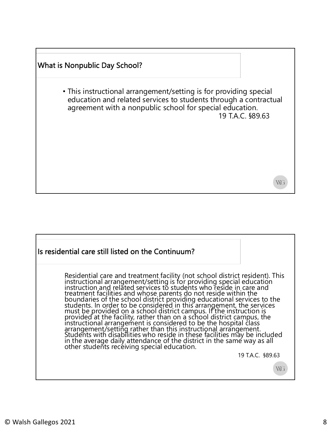## What is Nonpublic Day School? • This instructional arrangement/setting is for providing special education and related services to students through a contractual agreement with a nonpublic school for special education. 19 T.A.C. §89.63 WG

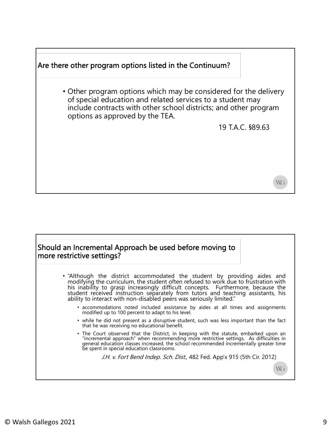

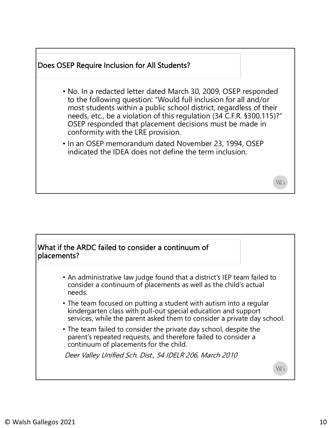

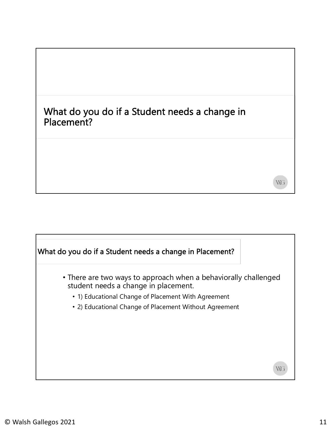## What do you do if a Student needs a change in Placement?

# What do you do if a Student needs a change in Placement? • There are two ways to approach when a behaviorally challenged student needs a change in placement. • 1) Educational Change of Placement With Agreement • 2) Educational Change of Placement Without Agreement WG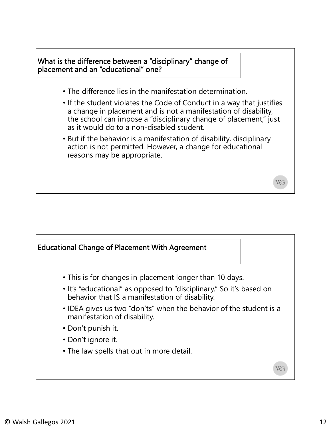

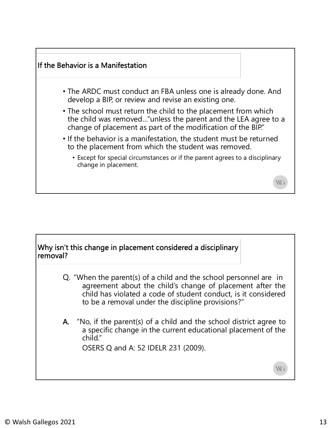

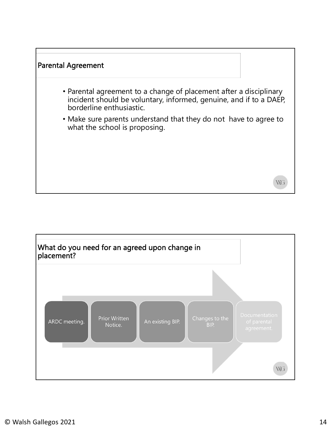

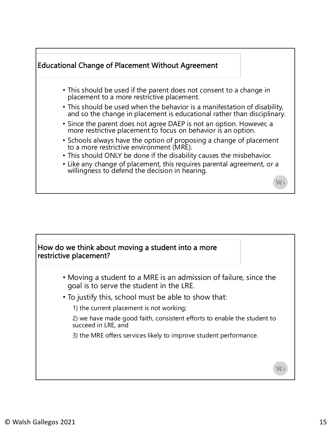

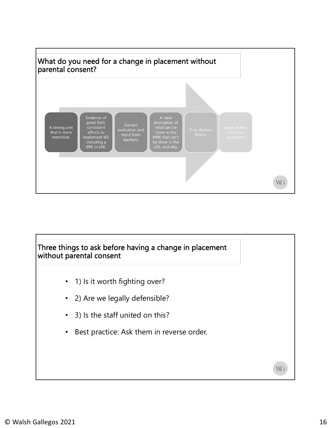

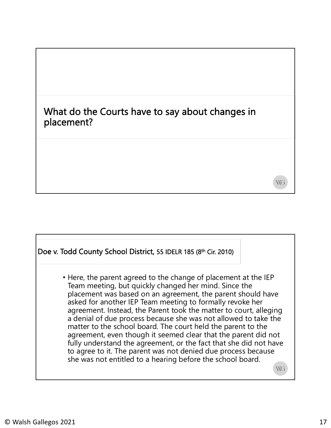## What do the Courts have to say about changes in placement?

## Doe v. Todd County School District, 55 IDELR 185 (8th Cir. 2010)

• Here, the parent agreed to the change of placement at the IEP Team meeting, but quickly changed her mind. Since the placement was based on an agreement, the parent should have asked for another IEP Team meeting to formally revoke her agreement. Instead, the Parent took the matter to court, alleging a denial of due process because she was not allowed to take the matter to the school board. The court held the parent to the agreement, even though it seemed clear that the parent did not fully understand the agreement, or the fact that she did not have to agree to it. The parent was not denied due process because she was not entitled to a hearing before the school board.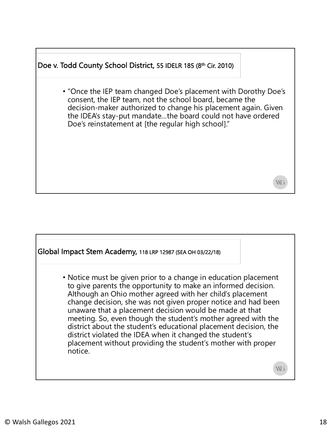## Doe v. Todd County School District, 55 IDELR 185 (8th Cir. 2010)

• "Once the IEP team changed Doe's placement with Dorothy Doe's consent, the IEP team, not the school board, became the decision-maker authorized to change his placement again. Given the IDEA's stay-put mandate…the board could not have ordered Doe's reinstatement at [the regular high school]."

#### Global Impact Stem Academy, 118 LRP 12987 (SEA OH 03/22/18)

• Notice must be given prior to a change in education placement to give parents the opportunity to make an informed decision. Although an Ohio mother agreed with her child's placement change decision, she was not given proper notice and had been unaware that a placement decision would be made at that meeting. So, even though the student's mother agreed with the district about the student's educational placement decision, the district violated the IDEA when it changed the student's placement without providing the student's mother with proper notice.

WG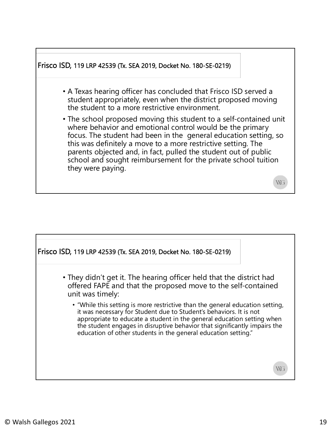

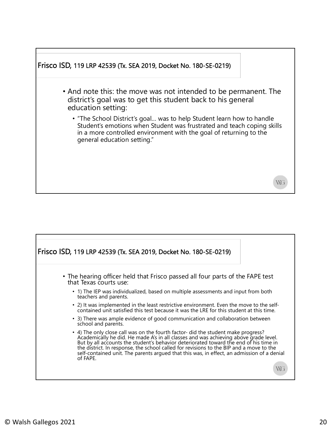

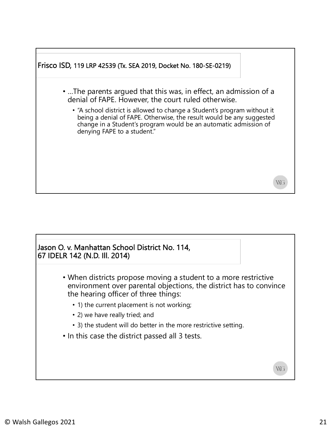

### Jason O. v. Manhattan School District No. 114, 67 IDELR 142 (N.D. Ill. 2014)

- When districts propose moving a student to a more restrictive environment over parental objections, the district has to convince the hearing officer of three things:
	- 1) the current placement is not working;
	- 2) we have really tried; and
	- 3) the student will do better in the more restrictive setting.
- In this case the district passed all 3 tests.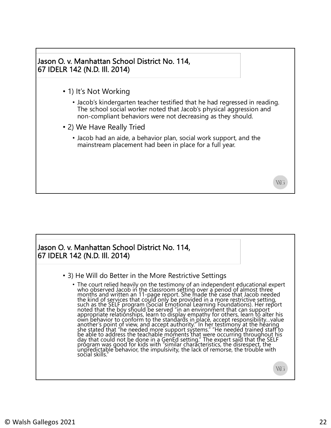

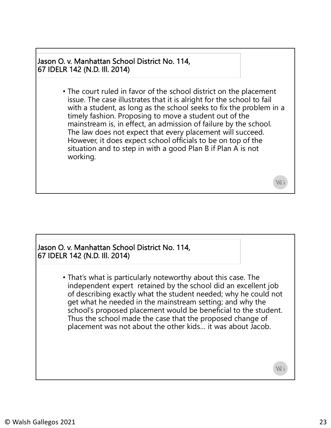Jason O. v. Manhattan School District No. 114, 67 IDELR 142 (N.D. Ill. 2014)

> • The court ruled in favor of the school district on the placement issue. The case illustrates that it is alright for the school to fail with a student, as long as the school seeks to fix the problem in a timely fashion. Proposing to move a student out of the mainstream is, in effect, an admission of failure by the school. The law does not expect that every placement will succeed. However, it does expect school officials to be on top of the situation and to step in with a good Plan B if Plan A is not working.

#### Jason O. v. Manhattan School District No. 114, 67 IDELR 142 (N.D. Ill. 2014)

• That's what is particularly noteworthy about this case. The independent expert retained by the school did an excellent job of describing exactly what the student needed; why he could not get what he needed in the mainstream setting; and why the school's proposed placement would be beneficial to the student. Thus the school made the case that the proposed change of placement was not about the other kids… it was about Jacob.

WG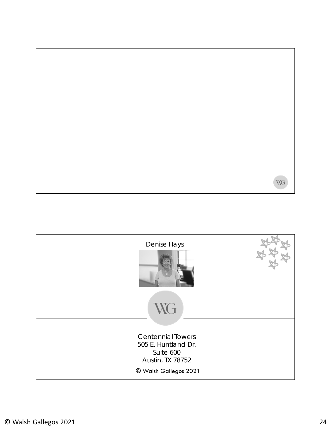